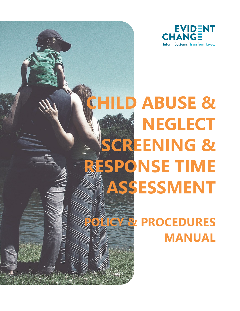

# **CHILD ABUSE & [N](https://app.asana.com/0/284579012949714/list)EGLECT SCREENING & RESPONSE TIME ASSESSMENT**

**ROCEDURES MANUAL**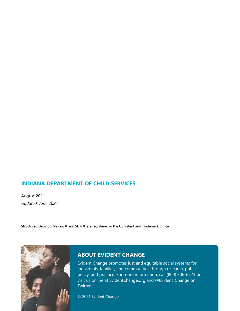# **INDIANA DEPARTMENT OF CHILD SERVICES**

August 2011 *Updated: June 2021*

Structured Decision Making® and SDM® are registered in the US Patent and Trademark Office



# **ABOUT EVIDENT CHANGE**

Evident Change promotes just and equitable social systems for individuals, families, and communities through research, public policy, and practice. For more information, call (800) 306-6223 or visit us online at EvidentChange.org and @Evident\_Change on Twitter.

© 2021 Evident Change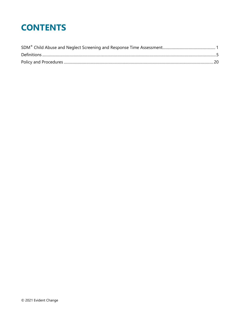# **CONTENTS**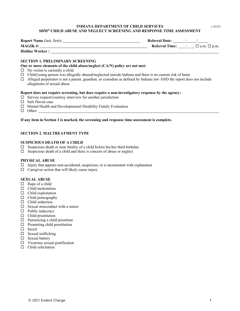#### **INDIANA DEPARTMENT OF CHILD SERVICES**  $r: 03/21$ **SDM® CHILD ABUSE AND NEGLECT SCREENING AND RESPONSE TIME ASSESSMENT**

<span id="page-3-0"></span>

| <b>Report Name (last, first):</b> | <b>Referral Date:</b> |                         |
|-----------------------------------|-----------------------|-------------------------|
| <b>MAGIK#:</b>                    | <b>Referral Time:</b> | $\Box$ a.m. $\Box$ p.m. |
| <b>Hotline Worker:</b>            |                       |                         |

#### **SECTION 1. PRELIMINARY SCREENING**

#### **One or more elements of the child abuse/neglect (CA/N) policy are not met:**

- $\square$  No victim is currently a child
- $\Box$  Child/young person was allegedly abused/neglected outside Indiana and there is no current risk of harm
- $\Box$  Alleged perpetrator is not a parent, guardian, or custodian as defined by Indiana law AND the report does not include allegations of sexual abuse

#### **Report does not require screening, but does require a non-investigatory response by the agency:**

- $\square$  Service request/courtesy interview for another jurisdiction
- □ Safe Haven case
- $\Box$  Mental Health and Developmental Disability Family Evaluation
- $\Box$  Other:

#### **If any item in Section 1 is marked, the screening and response time assessment is complete.**

#### **SECTION 2. MALTREATMENT TYPE**

#### **SUSPICIOUS DEATH OF A CHILD**

- $\square$  Suspicious death or near fatality of a child before his/her third birthday
- $\square$  Suspicious death of a child and there is concern of abuse or neglect

#### **PHYSICAL ABUSE**

- $\Box$  Injury that appears non-accidental, suspicious, or is inconsistent with explanation
- $\Box$  Caregiver action that will likely cause injury

#### **SEXUAL ABUSE**

- $\Box$  Rape of a child
- $\Box$  Child molestation
- $\Box$  Child exploitation
- $\Box$  Child pornography
- $\Box$  Child seduction
- $\Box$  Sexual misconduct with a minor
- $\Box$  Public indecency
- $\Box$  Child prostitution
- $\Box$  Patronizing a child prostitute
- $\Box$  Promoting child prostitution
- $\Box$  Incest
- $\square$  Sexual trafficking
- Sexual battery
- $\Box$  Vicarious sexual gratification
- $\Box$  Child solicitation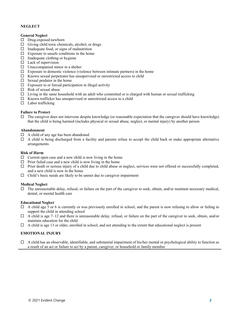#### **NEGLECT**

#### **General Neglect**

- $\square$  Drug-exposed newborn
- $\Box$  Giving child toxic chemicals, alcohol, or drugs
- $\Box$  Inadequate food, or signs of malnutrition
- $\Box$  Exposure to unsafe conditions in the home
- $\Box$  Inadequate clothing or hygiene
- $\Box$  Lack of supervision
- $\square$  Unaccompanied minor in a shelter
- $\Box$  Exposure to domestic violence (violence between intimate partners) in the home
- $\square$  Known sexual perpetrator has unsupervised or unrestricted access to child
- $\square$  Sexual predator in the home
- $\Box$  Exposure to or forced participation in illegal activity
- $\Box$  Risk of sexual abuse
- $\Box$  Living in the same household with an adult who committed or is charged with human or sexual trafficking
- $\Box$  Known trafficker has unsupervised or unrestricted access to a child
- $\Box$  Labor trafficking

#### **Failure to Protect**

 $\Box$  The caregiver does not intervene despite knowledge (or reasonable expectation that the caregiver should have knowledge) that the child is being harmed (includes physical or sexual abuse, neglect, or mental injury) by another person

#### **Abandonment**

- $\Box$  A child of any age has been abandoned
- $\Box$  A child is being discharged from a facility and parents refuse to accept the child back or make appropriate alternative arrangements

#### **Risk of Harm**

- $\Box$  Current open case and a new child is now living in the home
- $\Box$  Prior failed case and a new child is now living in the home
- $\Box$  Prior death or serious injury of a child due to child abuse or neglect, services were not offered or successfully completed, and a new child is now in the home
- $\Box$  Child's basic needs are likely to be unmet due to caregiver impairment

#### **Medical Neglect**

 $\Box$  The unreasonable delay, refusal, or failure on the part of the caregiver to seek, obtain, and/or maintain necessary medical, dental, or mental health care

#### **Educational Neglect**

- $\Box$  A child age 5 or 6 is currently or was previously enrolled in school, and the parent is now refusing to allow or failing to support the child in attending school
- $\Box$  A child is age 7–12 and there is unreasonable delay, refusal, or failure on the part of the caregiver to seek, obtain, and/or maintain education for the child
- $\Box$  A child is age 13 or older, enrolled in school, and not attending to the extent that educational neglect is present

#### **EMOTIONAL INJURY**

 $\Box$  A child has an observable, identifiable, and substantial impairment of his/her mental or psychological ability to function as a result of an act or failure to act by a parent, caregiver, or household or family member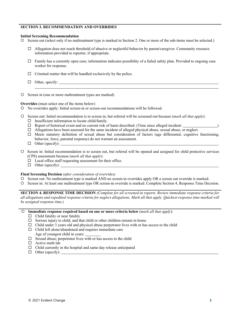#### **SECTION 3. RECOMMENDATION AND OVERRIDES**

#### **Initial Screening Recommendation**

Screen out (select only if no maltreatment type is marked in Section 2. One or more of the sub-items must be selected.)

- $\Box$  Allegation does not reach threshold of abusive or neglectful behavior by parent/caregiver. Community resource information provided to reporter, if appropriate.
- $\Box$  Family has a currently open case; information indicates possibility of a failed safety plan. Provided to ongoing case worker for response.
- $\Box$  Criminal matter that will be handled exclusively by the police.
- $\Box$  Other, specify:
- O Screen in (one or more maltreatment types are marked)

**Overrides** (must select one of the items below)

- No overrides apply: Initial screen-in or screen-out recommendations will be followed.
- Screen out: Initial recommendation is to screen in, but referral will be screened out because (*mark all that apply*):
	- $\Box$  Insufficient information to locate child/family.
	- $\Box$  Report of historical event and no current risk of harm described. (Time since alleged incident:
	- $\Box$  Allegations have been assessed for the same incident of alleged physical abuse, sexual abuse, or neglect.
	- $\Box$  Meets statutory definition of sexual abuse but consideration of factors (age differential, cognitive functioning, behavior, force, parental response) do not warrant an assessment.
	- $\Box$  Other (specify):
- Screen in: Initial recommendation is to screen out, but referral will be opened and assigned for child protective services (CPS) assessment because (*mark all that apply*):
	- $\Box$  Local office staff requesting assessment for their office.
	- $\Box$  Other (specify):  $\Box$

#### **Final Screening Decision** *(after consideration of overrides)*

- O Screen out: No maltreatment type is marked AND no screen-in overrides apply OR a screen out override is marked.
- O Screen in: At least one maltreatment type OR screen-in override is marked. Complete Section 4, Response Time Decision.

**SECTION 4. RESPONSE TIME DECISION** *(Complete for all screened-in reports. Review immediate response criteria for all allegations and expedited response criteria for neglect allegations. Mark all that apply. Quickest response time marked will be assigned response time.)*

- **Immediate response required based on one or more criteria below** (*mark all that apply*):
	- $\Box$  Child fatality or near fatality
	- $\square$  Serious injury to child, and that child or other children remain in home
	- $\Box$  Child under 3 years old and physical abuse perpetrator lives with or has access to the child
	- $\Box$  Child left alone/abandoned and requires immediate care
	- Age of youngest child in years:
	- $\square$  Sexual abuse; perpetrator lives with or has access to the child
	- $\Box$  Active meth lab
	- $\Box$  Child currently in the hospital and same-day release anticipated
	- $\Box$  Other (specify):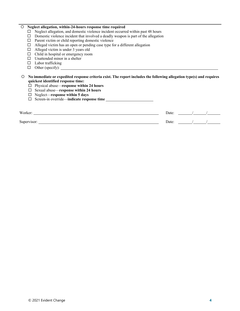#### **Neglect allegation, within-24-hours response time required**

- $\square$  Neglect allegation, and domestic violence incident occurred within past 48 hours
- $\Box$  Domestic violence incident that involved a deadly weapon is part of the allegation
- $\Box$  Parent victim or child reporting domestic violence
- $\Box$  Alleged victim has an open or pending case type for a different allegation
- $\Box$  Alleged victim is under 3 years old
- $\Box$  Child in hospital or emergency room
- $\square$  Unattended minor in a shelter
- $\square$  Labor trafficking
- $\Box$  Other (specify):  $\Box$

#### **No immediate or expedited response criteria exist. The report includes the following allegation type(s) and requires quickest identified response time:**

- Physical abuse—**response within 24 hours**
- Sexual abuse—**response within 24 hours**
- Neglect—**response within 5 days**
- Screen-in override—**indicate response time**

| Worker:     | Date: |  |  |
|-------------|-------|--|--|
| Supervisor: | Date: |  |  |
|             |       |  |  |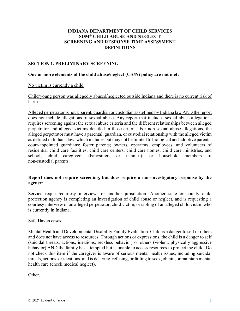# **INDIANA DEPARTMENT OF CHILD SERVICES SDM® CHILD ABUSE AND NEGLECT SCREENING AND RESPONSE TIME ASSESSMENT DEFINITIONS**

# <span id="page-7-0"></span>**SECTION 1. PRELIMINARY SCREENING**

#### **One or more elements of the child abuse/neglect (CA/N) policy are not met:**

No victim is currently a child.

Child/young person was allegedly abused/neglected outside Indiana and there is no current risk of harm.

Alleged perpetrator is not a parent, guardian or custodian as defined by Indiana law AND the report does not include allegations of sexual abuse. Any report that includes sexual abuse allegations requires screening against the sexual abuse criteria and the different relationships between alleged perpetrator and alleged victims detailed in those criteria. For non-sexual abuse allegations, the alleged perpetrator must have a parental, guardian, or custodial relationship with the alleged victim as defined in Indiana law, which includes but may not be limited to biological and adoptive parents; court-appointed guardians; foster parents; owners, operators, employees, and volunteers of residential child care facilities, child care centers, child care homes, child care ministries, and school; child caregivers (babysitters or nannies); or household members of non-custodial parents.

# **Report does not require screening, but does require a non-investigatory response by the agency:**

Service request/courtesy interview for another jurisdiction. Another state or county child protection agency is completing an investigation of child abuse or neglect, and is requesting a courtesy interview of an alleged perpetrator, child victim, or sibling of an alleged child victim who is currently in Indiana.

### Safe Haven cases.

Mental Health and Developmental Disability Family Evaluation. Child is a danger to self or others and does not have access to resources. Through actions or expressions, the child is a danger to self (suicidal threats, actions, ideations, reckless behavior) or others (violent, physically aggressive behavior) AND the family has attempted but is unable to access resources to protect the child. Do not check this item if the caregiver is aware of serious mental health issues, including suicidal threats, actions, or ideations, and is delaying, refusing, or failing to seek, obtain, or maintain mental health care (check medical neglect).

Other.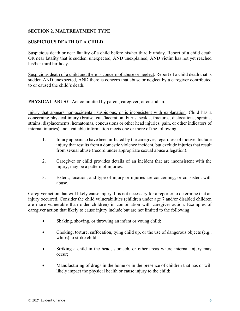# **SECTION 2. MALTREATMENT TYPE**

# **SUSPICIOUS DEATH OF A CHILD**

Suspicious death or near fatality of a child before his/her third birthday. Report of a child death OR near fatality that is sudden, unexpected, AND unexplained, AND victim has not yet reached his/her third birthday.

Suspicious death of a child and there is concern of abuse or neglect. Report of a child death that is sudden AND unexpected, AND there is concern that abuse or neglect by a caregiver contributed to or caused the child's death.

**PHYSICAL ABUSE**: Act committed by parent, caregiver, or custodian.

Injury that appears non-accidental, suspicious, or is inconsistent with explanation. Child has a concerning physical injury (bruise, cuts/laceration, burns, scalds, fractures, dislocations, sprains, strains, displacements, hematomas, concussions or other head injuries, pain, or other indicators of internal injuries) and available information meets one or more of the following:

- 1. Injury appears to have been inflicted by the caregiver, regardless of motive. Include injury that results from a domestic violence incident, but exclude injuries that result from sexual abuse (record under appropriate sexual abuse allegation).
- 2. Caregiver or child provides details of an incident that are inconsistent with the injury; may be a pattern of injuries.
- 3. Extent, location, and type of injury or injuries are concerning, or consistent with abuse.

Caregiver action that will likely cause injury. It is not necessary for a reporter to determine that an injury occurred. Consider the child vulnerabilities (children under age 7 and/or disabled children are more vulnerable than older children) in combination with caregiver action. Examples of caregiver action that likely to cause injury include but are not limited to the following:

- Shaking, shoving, or throwing an infant or young child;
- Choking, torture, suffocation, tying child up, or the use of dangerous objects (e.g., whips) to strike child;
- Striking a child in the head, stomach, or other areas where internal injury may occur;
- Manufacturing of drugs in the home or in the presence of children that has or will likely impact the physical health or cause injury to the child;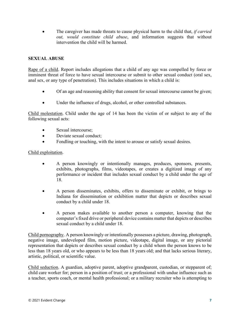• The caregiver has made threats to cause physical harm to the child that, *if carried out, would constitute child abuse*, and information suggests that without intervention the child will be harmed.

# **SEXUAL ABUSE**

Rape of a child. Report includes allegations that a child of any age was compelled by force or imminent threat of force to have sexual intercourse or submit to other sexual conduct (oral sex, anal sex, or any type of penetration). This includes situations in which a child is:

- Of an age and reasoning ability that consent for sexual intercourse cannot be given;
- Under the influence of drugs, alcohol, or other controlled substances.

Child molestation. Child under the age of 14 has been the victim of or subject to any of the following sexual acts:

- Sexual intercourse;
- Deviate sexual conduct:
- Fondling or touching, with the intent to arouse or satisfy sexual desires.

# Child exploitation.

- A person knowingly or intentionally manages, produces, sponsors, presents, exhibits, photographs, films, videotapes, or creates a digitized image of any performance or incident that includes sexual conduct by a child under the age of 18.
- A person disseminates, exhibits, offers to disseminate or exhibit, or brings to Indiana for dissemination or exhibition matter that depicts or describes sexual conduct by a child under 18.
- A person makes available to another person a computer, knowing that the computer's fixed drive or peripheral device contains matter that depicts or describes sexual conduct by a child under 18.

Child pornography. A person knowingly or intentionally possesses a picture, drawing, photograph, negative image, undeveloped film, motion picture, videotape, digital image, or any pictorial representation that depicts or describes sexual conduct by a child whom the person knows to be less than 18 years old, or who appears to be less than 18 years old; and that lacks serious literary, artistic, political, or scientific value.

Child seduction. A guardian, adoptive parent, adoptive grandparent, custodian, or stepparent of; child care worker for; person in a position of trust; or a professional with undue influence such as a teacher, sports coach, or mental health professional; or a military recruiter who is attempting to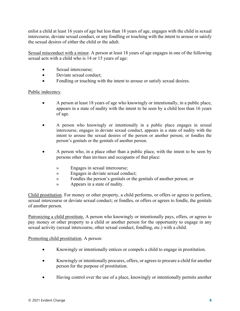enlist a child at least 16 years of age but less than 18 years of age, engages with the child in sexual intercourse, deviate sexual conduct, or any fondling or touching with the intent to arouse or satisfy the sexual desires of either the child or the adult.

Sexual misconduct with a minor. A person at least 18 years of age engages in one of the following sexual acts with a child who is 14 or 15 years of age:

- Sexual intercourse:
- Deviate sexual conduct:
- Fondling or touching with the intent to arouse or satisfy sexual desires.

# Public indecency.

- A person at least 18 years of age who knowingly or intentionally, in a public place, appears in a state of nudity with the intent to be seen by a child less than 16 years of age.
- A person who knowingly or intentionally in a public place engages in sexual intercourse, engages in deviate sexual conduct, appears in a state of nudity with the intent to arouse the sexual desires of the person or another person; or fondles the person's genitals or the genitals of another person.
- A person who, in a place other than a public place, with the intent to be seen by persons other than invitees and occupants of that place:
	- » Engages in sexual intercourse;
	- » Engages in deviate sexual conduct;
	- » Fondles the person's genitals or the genitals of another person; or
	- » Appears in a state of nudity.

Child prostitution. For money or other property, a child performs, or offers or agrees to perform, sexual intercourse or deviate sexual conduct; or fondles, or offers or agrees to fondle, the genitals of another person.

Patronizing a child prostitute. A person who knowingly or intentionally pays, offers, or agrees to pay money or other property to a child or another person for the opportunity to engage in any sexual activity (sexual intercourse, other sexual conduct, fondling, etc.) with a child.

Promoting child prostitution. A person:

- Knowingly or intentionally entices or compels a child to engage in prostitution.
- Knowingly or intentionally procures, offers, or agrees to procure a child for another person for the purpose of prostitution.
- Having control over the use of a place, knowingly or intentionally permits another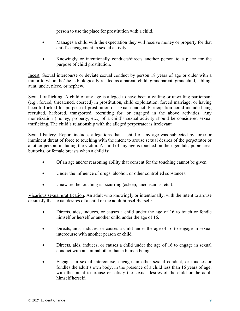person to use the place for prostitution with a child.

- Manages a child with the expectation they will receive money or property for that child's engagement in sexual activity.
- Knowingly or intentionally conducts/directs another person to a place for the purpose of child prostitution.

Incest. Sexual intercourse or deviate sexual conduct by person 18 years of age or older with a minor to whom he/she is biologically related as a parent, child, grandparent, grandchild, sibling, aunt, uncle, niece, or nephew.

Sexual trafficking. A child of any age is alleged to have been a willing or unwilling participant (e.g., forced, threatened, coerced) in prostitution, child exploitation, forced marriage, or having been trafficked for purpose of prostitution or sexual conduct. Participation could include being recruited, harbored, transported, recruiting for, or engaged in the above activities. Any monetization (money, property, etc.) of a child's sexual activity should be considered sexual trafficking. The child's relationship with the alleged perpetrator is irrelevant.

Sexual battery. Report includes allegations that a child of any age was subjected by force or imminent threat of force to touching with the intent to arouse sexual desires of the perpetrator or another person, including the victim. A child of any age is touched on their genitals, pubic area, buttocks, or female breasts when a child is:

- Of an age and/or reasoning ability that consent for the touching cannot be given.
- Under the influence of drugs, alcohol, or other controlled substances.
- Unaware the touching is occurring (asleep, unconscious, etc.).

Vicarious sexual gratification. An adult who knowingly or intentionally, with the intent to arouse or satisfy the sexual desires of a child or the adult himself/herself:

- Directs, aids, induces, or causes a child under the age of 16 to touch or fondle himself or herself or another child under the age of 16.
- Directs, aids, induces, or causes a child under the age of 16 to engage in sexual intercourse with another person or child.
- Directs, aids, induces, or causes a child under the age of 16 to engage in sexual conduct with an animal other than a human being.
- Engages in sexual intercourse, engages in other sexual conduct, or touches or fondles the adult's own body, in the presence of a child less than 16 years of age, with the intent to arouse or satisfy the sexual desires of the child or the adult himself/herself.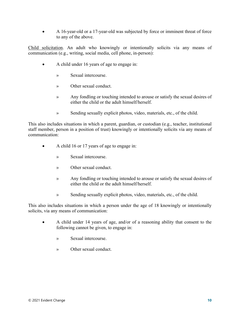• A 16-year-old or a 17-year-old was subjected by force or imminent threat of force to any of the above.

Child solicitation. An adult who knowingly or intentionally solicits via any means of communication (e.g., writing, social media, cell phone, in-person):

- A child under 16 years of age to engage in:
	- » Sexual intercourse.
	- » Other sexual conduct.
	- » Any fondling or touching intended to arouse or satisfy the sexual desires of either the child or the adult himself/herself.
	- » Sending sexually explicit photos, video, materials, etc., of the child.

This also includes situations in which a parent, guardian, or custodian (e.g., teacher, institutional staff member, person in a position of trust) knowingly or intentionally solicits via any means of communication:

- A child 16 or 17 years of age to engage in:
	- » Sexual intercourse.
	- » Other sexual conduct.
	- » Any fondling or touching intended to arouse or satisfy the sexual desires of either the child or the adult himself/herself.
	- » Sending sexually explicit photos, video, materials, etc., of the child.

This also includes situations in which a person under the age of 18 knowingly or intentionally solicits, via any means of communication:

- A child under 14 years of age, and/or of a reasoning ability that consent to the following cannot be given, to engage in:
	- » Sexual intercourse.
	- » Other sexual conduct.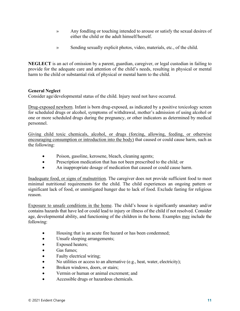- » Any fondling or touching intended to arouse or satisfy the sexual desires of either the child or the adult himself/herself.
- » Sending sexually explicit photos, video, materials, etc., of the child.

**NEGLECT** is an act of omission by a parent, guardian, caregiver, or legal custodian in failing to provide for the adequate care and attention of the child's needs, resulting in physical or mental harm to the child or substantial risk of physical or mental harm to the child.

# **General Neglect**

Consider age/developmental status of the child. Injury need not have occurred.

Drug-exposed newborn. Infant is born drug-exposed, as indicated by a positive toxicology screen for scheduled drugs or alcohol, symptoms of withdrawal, mother's admission of using alcohol or one or more scheduled drugs during the pregnancy, or other indicators as determined by medical personnel.

Giving child toxic chemicals, alcohol, or drugs (forcing, allowing, feeding, or otherwise encouraging consumption or introduction into the body) that caused or could cause harm, such as the following:

- Poison, gasoline, kerosene, bleach, cleaning agents;
- Prescription medication that has not been prescribed to the child; or
- An inappropriate dosage of medication that caused or could cause harm.

Inadequate food, or signs of malnutrition. The caregiver does not provide sufficient food to meet minimal nutritional requirements for the child. The child experiences an ongoing pattern or significant lack of food, or unmitigated hunger due to lack of food. Exclude fasting for religious reason.

Exposure to unsafe conditions in the home. The child's house is significantly unsanitary and/or contains hazards that have led or could lead to injury or illness of the child if not resolved. Consider age, developmental ability, and functioning of the children in the home. Examples may include the following:

- Housing that is an acute fire hazard or has been condemned;
- Unsafe sleeping arrangements;
- Exposed heaters;
- Gas fumes:
- Faulty electrical wiring;
- No utilities or access to an alternative (e.g., heat, water, electricity);
- Broken windows, doors, or stairs;
- Vermin or human or animal excrement; and
- Accessible drugs or hazardous chemicals.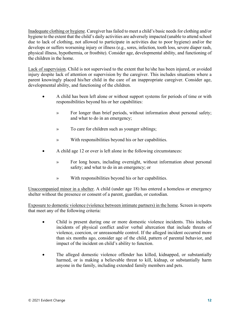Inadequate clothing or hygiene. Caregiver has failed to meet a child's basic needs for clothing and/or hygiene to the extent that the child's daily activities are adversely impacted (unable to attend school due to lack of clothing, not allowed to participate in activities due to poor hygiene) and/or the develops or suffers worsening injury or illness (e.g., sores, infection, tooth loss, severe diaper rash, physical illness, hypothermia, or frostbite). Consider age, developmental ability, and functioning of the children in the home.

Lack of supervision. Child is not supervised to the extent that he/she has been injured, or avoided injury despite lack of attention or supervision by the caregiver. This includes situations where a parent knowingly placed his/her child in the care of an inappropriate caregiver. Consider age, developmental ability, and functioning of the children.

- A child has been left alone or without support systems for periods of time or with responsibilities beyond his or her capabilities:
	- » For longer than brief periods, without information about personal safety; and what to do in an emergency;
	- » To care for children such as younger siblings;
	- » With responsibilities beyond his or her capabilities.
- A child age 12 or over is left alone in the following circumstances:
	- » For long hours, including overnight, without information about personal safety; and what to do in an emergency; or
	- » With responsibilities beyond his or her capabilities.

Unaccompanied minor in a shelter. A child (under age 18) has entered a homeless or emergency shelter without the presence or consent of a parent, guardian, or custodian.

Exposure to domestic violence (violence between intimate partners) in the home. Screen in reports that meet any of the following criteria:

- Child is present during one or more domestic violence incidents. This includes incidents of physical conflict and/or verbal altercation that include threats of violence, coercion, or unreasonable control. If the alleged incident occurred more than six months ago, consider age of the child, pattern of parental behavior, and impact of the incident on child's ability to function.
- The alleged domestic violence offender has killed, kidnapped, or substantially harmed, or is making a believable threat to kill, kidnap, or substantially harm anyone in the family, including extended family members and pets.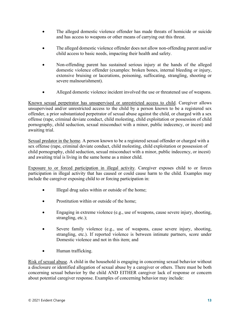- The alleged domestic violence offender has made threats of homicide or suicide and has access to weapons or other means of carrying out this threat.
- The alleged domestic violence offender does not allow non-offending parent and/or child access to basic needs, impacting their health and safety.
- Non-offending parent has sustained serious injury at the hands of the alleged domestic violence offender (examples: broken bones, internal bleeding or injury, extensive bruising or lacerations, poisoning, suffocating, strangling, shooting or severe malnourishment).
- Alleged domestic violence incident involved the use or threatened use of weapons.

Known sexual perpetrator has unsupervised or unrestricted access to child. Caregiver allows unsupervised and/or unrestricted access to the child by a person known to be a registered sex offender, a prior substantiated perpetrator of sexual abuse against the child, or charged with a sex offense (rape, criminal deviate conduct, child molesting, child exploitation or possession of child pornography, child seduction, sexual misconduct with a minor, public indecency, or incest) and awaiting trial.

Sexual predator in the home. A person known to be a registered sexual offender or charged with a sex offense (rape, criminal deviate conduct, child molesting, child exploitation or possession of child pornography, child seduction, sexual misconduct with a minor, public indecency, or incest) and awaiting trial is living in the same home as a minor child.

Exposure to or forced participation in illegal activity. Caregiver exposes child to or forces participation in illegal activity that has caused or could cause harm to the child. Examples may include the caregiver exposing child to or forcing participation in:

- Illegal drug sales within or outside of the home;
- Prostitution within or outside of the home;
- Engaging in extreme violence (e.g., use of weapons, cause severe injury, shooting, strangling, etc.);
- Severe family violence (e.g., use of weapons, cause severe injury, shooting, strangling, etc.). If reported violence is between intimate partners, score under Domestic violence and not in this item; and
- Human trafficking.

Risk of sexual abuse. A child in the household is engaging in concerning sexual behavior without a disclosure or identified allegation of sexual abuse by a caregiver or others. There must be both concerning sexual behavior by the child AND EITHER caregiver lack of response or concern about potential caregiver response. Examples of concerning behavior may include: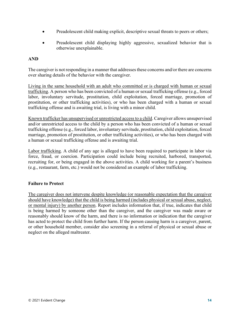- Preadolescent child making explicit, descriptive sexual threats to peers or others;
- Preadolescent child displaying highly aggressive, sexualized behavior that is otherwise unexplainable.

# **AND**

The caregiver is not responding in a manner that addresses these concerns and/or there are concerns over sharing details of the behavior with the caregiver.

Living in the same household with an adult who committed or is charged with human or sexual trafficking. A person who has been convicted of a human or sexual trafficking offense (e.g., forced labor, involuntary servitude, prostitution, child exploitation, forced marriage, promotion of prostitution, or other trafficking activities), or who has been charged with a human or sexual trafficking offense and is awaiting trial, is living with a minor child.

Known trafficker has unsupervised or unrestricted access to a child. Caregiver allows unsupervised and/or unrestricted access to the child by a person who has been convicted of a human or sexual trafficking offense (e.g., forced labor, involuntary servitude, prostitution, child exploitation, forced marriage, promotion of prostitution, or other trafficking activities), or who has been charged with a human or sexual trafficking offense and is awaiting trial.

Labor trafficking. A child of any age is alleged to have been required to participate in labor via force, fraud, or coercion. Participation could include being recruited, harbored, transported, recruiting for, or being engaged in the above activities. A child working for a parent's business (e.g., restaurant, farm, etc.) would not be considered an example of labor trafficking.

# **Failure to Protect**

The caregiver does not intervene despite knowledge (or reasonable expectation that the caregiver should have knowledge) that the child is being harmed (includes physical or sexual abuse, neglect, or mental injury) by another person. Report includes information that, if true, indicates that child is being harmed by someone other than the caregiver, and the caregiver was made aware or reasonably should know of the harm, and there is no information or indication that the caregiver has acted to protect the child from further harm. If the person causing harm is a caregiver, parent, or other household member, consider also screening in a referral of physical or sexual abuse or neglect on the alleged maltreater.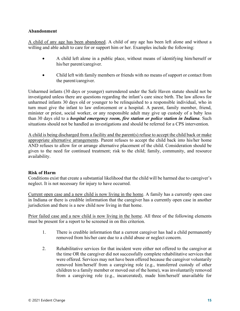# **Abandonment**

A child of any age has been abandoned. A child of any age has been left alone and without a willing and able adult to care for or support him or her. Examples include the following:

- A child left alone in a public place, without means of identifying him/herself or his/her parent/caregiver.
- Child left with family members or friends with no means of support or contact from the parent/caregiver.

Unharmed infants (30 days or younger) surrendered under the Safe Haven statute should not be investigated unless there are questions regarding the infant's care since birth. The law allows for unharmed infants 30 days old or younger to be relinquished to a responsible individual, who in turn must give the infant to law enforcement or a hospital. A parent, family member, friend, minister or priest, social worker, or any responsible adult may give up custody of a baby less than 30 days old to a *hospital emergency room, fire station or police station in Indiana*. Such situations should not be handled as investigations and should be referred for a CPS intervention.

A child is being discharged from a facility and the parent(s) refuse to accept the child back or make appropriate alternative arrangements. Parent refuses to accept the child back into his/her home AND refuses to allow for or arrange alternative placement of the child. Consideration should be given to the need for continued treatment; risk to the child; family, community, and resource availability.

### **Risk of Harm**

Conditions exist that create a substantial likelihood that the child will be harmed due to caregiver's neglect. It is not necessary for injury to have occurred.

Current open case and a new child is now living in the home. A family has a currently open case in Indiana or there is credible information that the caregiver has a currently open case in another jurisdiction and there is a new child now living in that home.

Prior failed case and a new child is now living in the home. All three of the following elements must be present for a report to be screened in on this criterion.

- 1. There is credible information that a current caregiver has had a child permanently removed from his/her care due to a child abuse or neglect concern.
- 2. Rehabilitative services for that incident were either not offered to the caregiver at the time OR the caregiver did not successfully complete rehabilitative services that were offered. Services may not have been offered because the caregiver voluntarily removed him/herself from a caregiving role (e.g., transferred custody of other children to a family member or moved out of the home), was involuntarily removed from a caregiving role (e.g., incarcerated), made him/herself unavailable for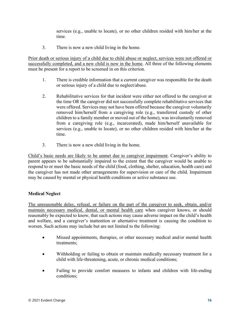services (e.g., unable to locate), or no other children resided with him/her at the time.

3. There is now a new child living in the home.

Prior death or serious injury of a child due to child abuse or neglect, services were not offered or successfully completed, and a new child is now in the home. All three of the following elements must be present for a report to be screened in on this criterion.

- 1. There is credible information that a current caregiver was responsible for the death or serious injury of a child due to neglect/abuse.
- 2. Rehabilitative services for that incident were either not offered to the caregiver at the time OR the caregiver did not successfully complete rehabilitative services that were offered. Services may not have been offered because the caregiver voluntarily removed him/herself from a caregiving role (e.g., transferred custody of other children to a family member or moved out of the home), was involuntarily removed from a caregiving role (e.g., incarcerated), made him/herself unavailable for services (e.g., unable to locate), or no other children resided with him/her at the time.
- 3. There is now a new child living in the home.

Child's basic needs are likely to be unmet due to caregiver impairment. Caregiver's ability to parent appears to be substantially impaired to the extent that the caregiver would be unable to respond to or meet the basic needs of the child (food, clothing, shelter, education, health care) and the caregiver has not made other arrangements for supervision or care of the child. Impairment may be caused by mental or physical health conditions or active substance use.

### **Medical Neglect**

The unreasonable delay, refusal, or failure on the part of the caregiver to seek, obtain, and/or maintain necessary medical, dental, or mental health care when caregiver knows, or should reasonably be expected to know, that such actions may cause adverse impact on the child's health and welfare, and a caregiver's inattention or alternative treatment is causing the condition to worsen. Such actions may include but are not limited to the following:

- Missed appointments, therapies, or other necessary medical and/or mental health treatments;
- Withholding or failing to obtain or maintain medically necessary treatment for a child with life-threatening, acute, or chronic medical conditions;
- Failing to provide comfort measures to infants and children with life-ending conditions;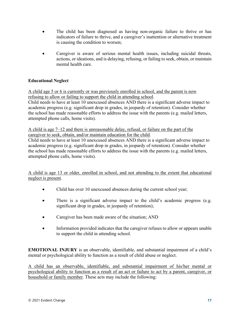- The child has been diagnosed as having non-organic failure to thrive or has indicators of failure to thrive, and a caregiver's inattention or alternative treatment is causing the condition to worsen;
- Caregiver is aware of serious mental health issues, including suicidal threats, actions, or ideations, and is delaying, refusing, or failing to seek, obtain, or maintain mental health care.

# **Educational Neglect**

A child age 5 or 6 is currently or was previously enrolled in school, and the parent is now refusing to allow or failing to support the child in attending school. Child needs to have at least 10 unexcused absences AND there is a significant adverse impact to academic progress (e.g. significant drop in grades, in jeopardy of retention). Consider whether the school has made reasonable efforts to address the issue with the parents (e.g. mailed letters, attempted phone calls, home visits).

A child is age 7–12 and there is unreasonable delay, refusal, or failure on the part of the caregiver to seek, obtain, and/or maintain education for the child.

Child needs to have at least 10 unexcused absences AND there is a significant adverse impact to academic progress (e.g. significant drop in grades, in jeopardy of retention). Consider whether the school has made reasonable efforts to address the issue with the parents (e.g. mailed letters, attempted phone calls, home visits).

A child is age 13 or older, enrolled in school, and not attending to the extent that educational neglect is present.

- Child has over 10 unexcused absences during the current school year;
- There is a significant adverse impact to the child's academic progress (e.g. significant drop in grades, in jeopardy of retention);
- Caregiver has been made aware of the situation; AND
- Information provided indicates that the caregiver refuses to allow or appears unable to support the child in attending school.

**EMOTIONAL INJURY** is an observable, identifiable, and substantial impairment of a child's mental or psychological ability to function as a result of child abuse or neglect.

A child has an observable, identifiable, and substantial impairment of his/her mental or psychological ability to function as a result of an act or failure to act by a parent, caregiver, or household or family member. These acts may include the following: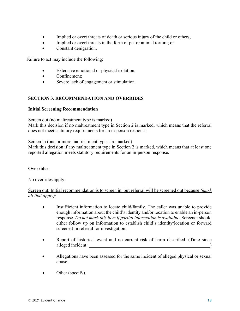- Implied or overt threats of death or serious injury of the child or others;
- Implied or overt threats in the form of pet or animal torture; or
- Constant denigration.

Failure to act may include the following:

- Extensive emotional or physical isolation;
- Confinement:
- Severe lack of engagement or stimulation.

# **SECTION 3. RECOMMENDATION AND OVERRIDES**

# **Initial Screening Recommendation**

Screen out (no maltreatment type is marked)

Mark this decision if no maltreatment type in Section 2 is marked, which means that the referral does not meet statutory requirements for an in-person response.

Screen in (one or more maltreatment types are marked)

Mark this decision if any maltreatment type in Section 2 is marked, which means that at least one reported allegation meets statutory requirements for an in-person response.

# **Overrides**

No overrides apply.

Screen out: Initial recommendation is to screen in, but referral will be screened out because *(mark all that apply)*:

- Insufficient information to locate child/family. The caller was unable to provide enough information about the child's identity and/or location to enable an in-person response. *Do not mark this item if partial information is available*. Screener should either follow up on information to establish child's identity/location or forward screened-in referral for investigation.
- Report of historical event and no current risk of harm described. (Time since alleged incident:
- Allegations have been assessed for the same incident of alleged physical or sexual abuse.
- Other (specify).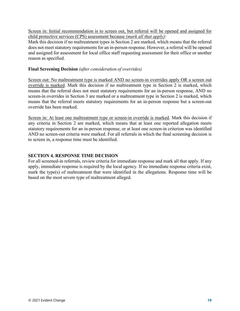Screen in: Initial recommendation is to screen out, but referral will be opened and assigned for child protective services (CPS) assessment because *(mark all that apply)*:

Mark this decision if no maltreatment types in Section 2 are marked, which means that the referral does not meet statutory requirements for an in-person response. However, a referral will be opened and assigned for assessment for local office staff requesting assessment for their office or another reason as specified.

# **Final Screening Decision** *(after consideration of overrides)*

Screen out: No maltreatment type is marked AND no screen-in overrides apply OR a screen out override is marked. Mark this decision if no maltreatment type in Section 2 is marked, which means that the referral does not meet statutory requirements for an in-person response, AND no screen-in overrides in Section 3 are marked or a maltreatment type in Section 2 is marked, which means that the referral meets statutory requirements for an in-person response but a screen-out override has been marked.

Screen in: At least one maltreatment type or screen-in override is marked. Mark this decision if any criteria in Section 2 are marked, which means that at least one reported allegation meets statutory requirements for an in-person response, or at least one screen-in criterion was identified AND no screen-out criteria were marked. For all referrals in which the final screening decision is to screen in, a response time must be identified.

# **SECTION 4. RESPONSE TIME DECISION**

For all screened-in referrals, review criteria for immediate response and mark all that apply. If any apply, immediate response is required by the local agency. If no immediate response criteria exist, mark the type(s) of maltreatment that were identified in the allegations. Response time will be based on the most severe type of maltreatment alleged.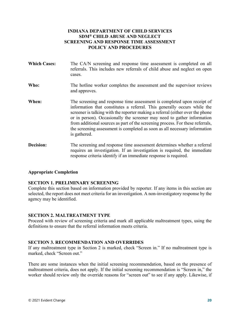# **INDIANA DEPARTMENT OF CHILD SERVICES SDM® CHILD ABUSE AND NEGLECT SCREENING AND RESPONSE TIME ASSESSMENT POLICY AND PROCEDURES**

<span id="page-22-0"></span>

| <b>Which Cases:</b> | The CA/N screening and response time assessment is completed on all<br>referrals. This includes new referrals of child abuse and neglect on open<br>cases.                                                                                                                                                                                                                                                                                                                                       |
|---------------------|--------------------------------------------------------------------------------------------------------------------------------------------------------------------------------------------------------------------------------------------------------------------------------------------------------------------------------------------------------------------------------------------------------------------------------------------------------------------------------------------------|
| Who:                | The hotline worker completes the assessment and the supervisor reviews<br>and approves.                                                                                                                                                                                                                                                                                                                                                                                                          |
| When:               | The screening and response time assessment is completed upon receipt of<br>information that constitutes a referral. This generally occurs while the<br>screener is talking with the reporter making a referral (either over the phone<br>or in person). Occasionally the screener may need to gather information<br>from additional sources as part of the screening process. For these referrals,<br>the screening assessment is completed as soon as all necessary information<br>is gathered. |
| Decision:           | The screening and response time assessment determines whether a referral<br>requires an investigation. If an investigation is required, the immediate                                                                                                                                                                                                                                                                                                                                            |

### **Appropriate Completion**

### **SECTION 1. PRELIMINARY SCREENING**

Complete this section based on information provided by reporter. If any items in this section are selected, the report does not meet criteria for an investigation. A non-investigatory response by the agency may be identified.

response criteria identify if an immediate response is required.

#### **SECTION 2. MALTREATMENT TYPE**

Proceed with review of screening criteria and mark all applicable maltreatment types, using the definitions to ensure that the referral information meets criteria.

### **SECTION 3. RECOMMENDATION AND OVERRIDES**

If any maltreatment type in Section 2 is marked, check "Screen in." If no maltreatment type is marked, check "Screen out."

There are some instances when the initial screening recommendation, based on the presence of maltreatment criteria, does not apply. If the initial screening recommendation is "Screen in," the worker should review only the override reasons for "screen out" to see if any apply. Likewise, if